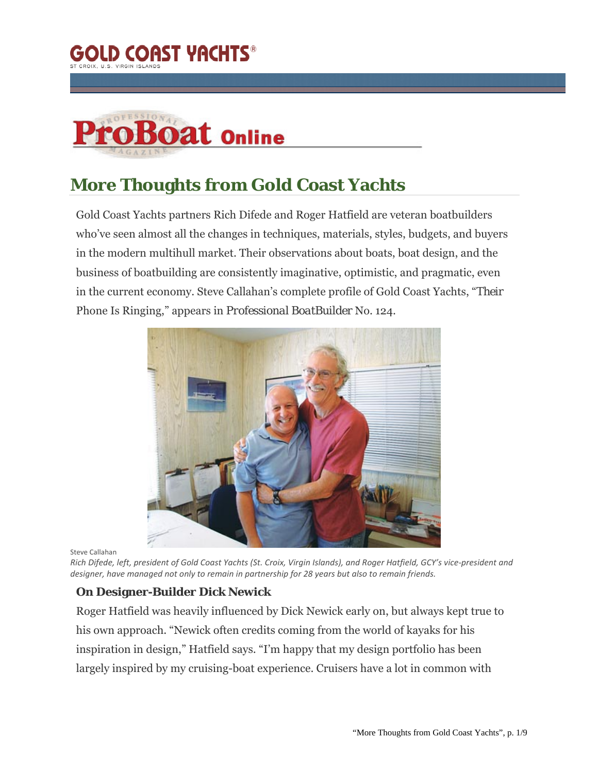



# **More Thoughts from Gold Coast Yachts**

Gold Coast Yachts partners Rich Difede and Roger Hatfield are veteran boatbuilders who've seen almost all the changes in techniques, materials, styles, budgets, and buyers in the modern multihull market. Their observations about boats, boat design, and the business of boatbuilding are consistently imaginative, optimistic, and pragmatic, even in the current economy. Steve Callahan's complete profile of Gold Coast Yachts, "*Their* Phone Is Ringing," appears in *Professional BoatBuilder* No. 124.



Steve Callahan

Rich Difede, left, president of Gold Coast Yachts (St. Croix, Virgin Islands), and Roger Hatfield, GCY's vice-president and *designer, have managed not only to remain in partnership for 28 years but also to remain friends.*

#### **On Designer-Builder Dick Newick**

Roger Hatfield was heavily influenced by Dick Newick early on, but always kept true to his own approach. "Newick often credits coming from the world of kayaks for his inspiration in design," Hatfield says. "I'm happy that my design portfolio has been largely inspired by my cruising-boat experience. Cruisers have a lot in common with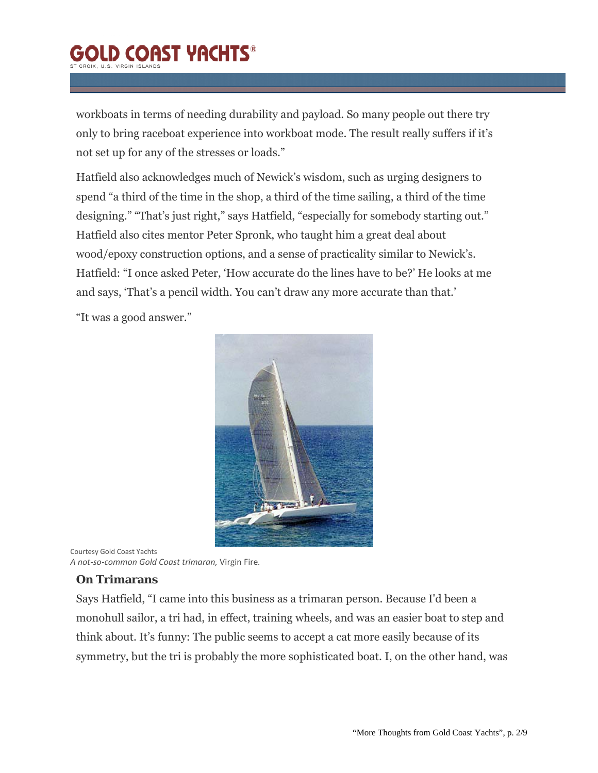# **GOLD COAST YACHTS®**

workboats in terms of needing durability and payload. So many people out there try only to bring raceboat experience into workboat mode. The result really suffers if it's not set up for any of the stresses or loads."

Hatfield also acknowledges much of Newick's wisdom, such as urging designers to spend "a third of the time in the shop, a third of the time sailing, a third of the time designing." "That's just right," says Hatfield, "especially for somebody starting out." Hatfield also cites mentor Peter Spronk, who taught him a great deal about wood/epoxy construction options, and a sense of practicality similar to Newick's. Hatfield: "I once asked Peter, 'How accurate do the lines have to be?' He looks at me and says, 'That's a pencil width. You can't draw any more accurate than that.'

"It was a good answer."



Courtesy Gold Coast Yachts *A not‐so‐common Gold Coast trimaran,* Virgin Fire*.*

#### **On Trimarans**

Says Hatfield, "I came into this business as a trimaran person. Because I'd been a monohull sailor, a tri had, in effect, training wheels, and was an easier boat to step and think about. It's funny: The public seems to accept a cat more easily because of its symmetry, but the tri is probably the more sophisticated boat. I, on the other hand, was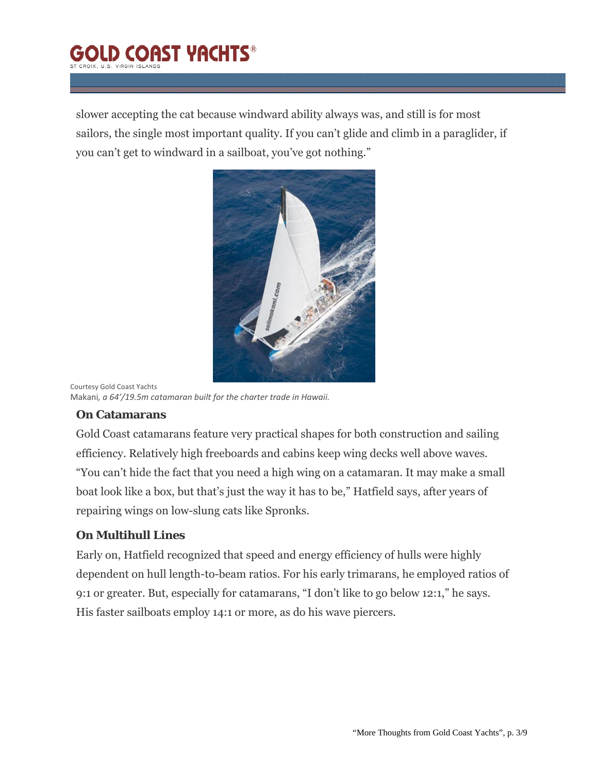## **D COAST VACHTS®** CROIX II S. VIRGIN ISLANI

slower accepting the cat because windward ability always was, and still is for most sailors, the single most important quality. If you can't glide and climb in a paraglider, if you can't get to windward in a sailboat, you've got nothing."



Courtesy Gold Coast Yachts Makani*, a 64'/19.5m catamaran built for the charter trade in Hawaii.*

#### **On Catamarans**

Gold Coast catamarans feature very practical shapes for both construction and sailing efficiency. Relatively high freeboards and cabins keep wing decks well above waves. "You can't hide the fact that you need a high wing on a catamaran. It may make a small boat look like a box, but that's just the way it has to be," Hatfield says, after years of repairing wings on low-slung cats like Spronks.

## **On Multihull Lines**

Early on, Hatfield recognized that speed and energy efficiency of hulls were highly dependent on hull length-to-beam ratios. For his early trimarans, he employed ratios of 9:1 or greater. But, especially for catamarans, "I don't like to go below 12:1," he says. His faster sailboats employ 14:1 or more, as do his wave piercers.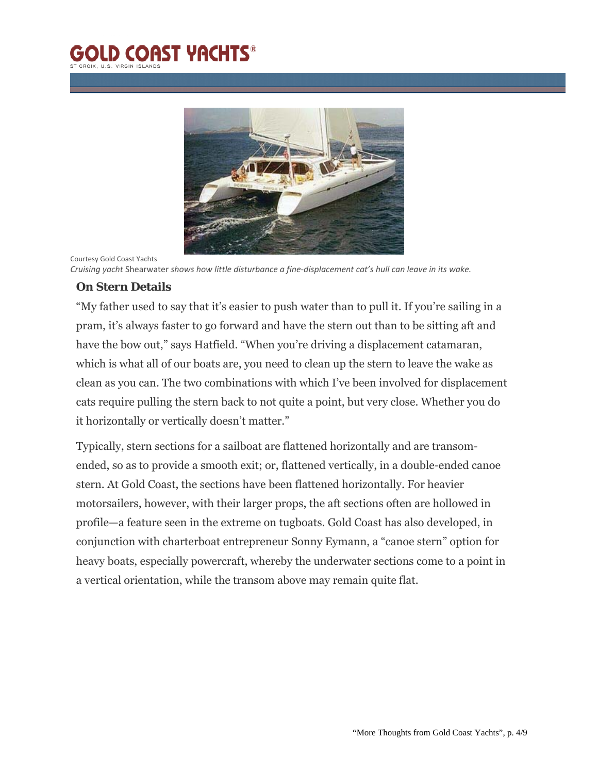# **D COAST YACHTS®**



Cruising yacht Shearwater shows how little disturbance a fine-displacement cat's hull can leave in its wake.

#### **On Stern Details**

Courtesy Gold Coast Yachts

"My father used to say that it's easier to push water than to pull it. If you're sailing in a pram, it's always faster to go forward and have the stern out than to be sitting aft and have the bow out," says Hatfield. "When you're driving a displacement catamaran, which is what all of our boats are, you need to clean up the stern to leave the wake as clean as you can. The two combinations with which I've been involved for displacement cats require pulling the stern back to not quite a point, but very close. Whether you do it horizontally or vertically doesn't matter."

Typically, stern sections for a sailboat are flattened horizontally and are transomended, so as to provide a smooth exit; or, flattened vertically, in a double-ended canoe stern. At Gold Coast, the sections have been flattened horizontally. For heavier motorsailers, however, with their larger props, the aft sections often are hollowed in profile—a feature seen in the extreme on tugboats. Gold Coast has also developed, in conjunction with charterboat entrepreneur Sonny Eymann, a "canoe stern" option for heavy boats, especially powercraft, whereby the underwater sections come to a point in a vertical orientation, while the transom above may remain quite flat.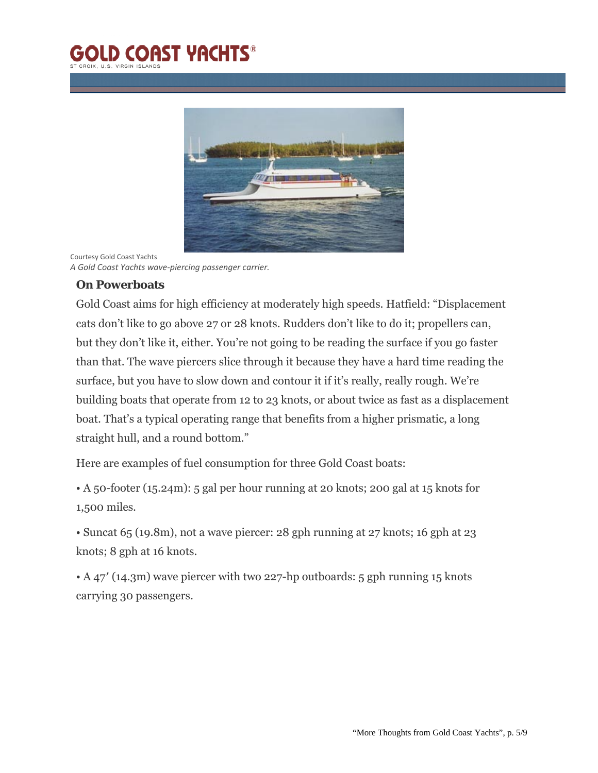# **D COAST YACHTS®**



Courtesy Gold Coast Yachts *A Gold Coast Yachts wave‐piercing passenger carrier.*

### **On Powerboats**

Gold Coast aims for high efficiency at moderately high speeds. Hatfield: "Displacement cats don't like to go above 27 or 28 knots. Rudders don't like to do it; propellers can, but they don't like it, either. You're not going to be reading the surface if you go faster than that. The wave piercers slice through it because they have a hard time reading the surface, but you have to slow down and contour it if it's really, really rough. We're building boats that operate from 12 to 23 knots, or about twice as fast as a displacement boat. That's a typical operating range that benefits from a higher prismatic, a long straight hull, and a round bottom."

Here are examples of fuel consumption for three Gold Coast boats:

• A 50-footer (15.24m): 5 gal per hour running at 20 knots; 200 gal at 15 knots for 1,500 miles.

• Suncat 65 (19.8m), not a wave piercer: 28 gph running at 27 knots; 16 gph at 23 knots; 8 gph at 16 knots.

• A 47' (14.3m) wave piercer with two 227-hp outboards: 5 gph running 15 knots carrying 30 passengers.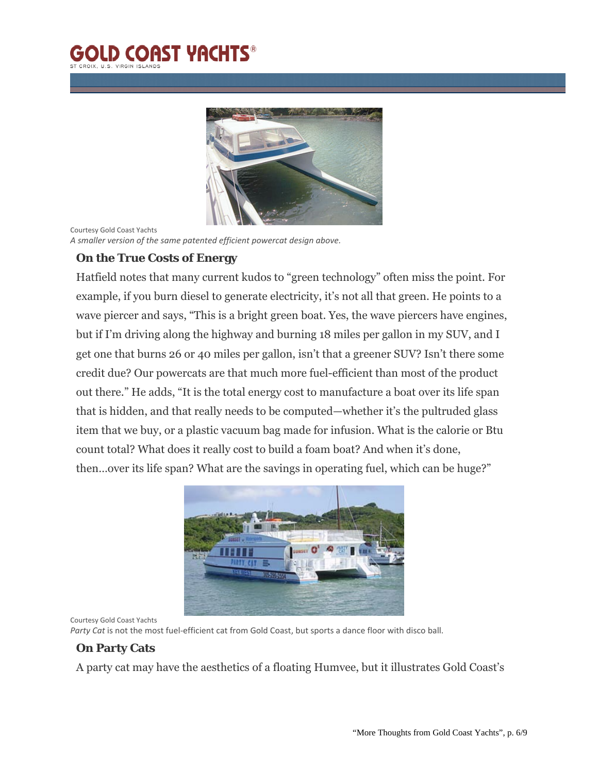## **D COAST YACHTS® IX II & VIDGIN ISLAN**



Courtesy Gold Coast Yachts *A smaller version of the same patented efficient powercat design above.*

### **On the True Costs of Energy**

Hatfield notes that many current kudos to "green technology" often miss the point. For example, if you burn diesel to generate electricity, it's not all that green. He points to a wave piercer and says, "This is a bright green boat. Yes, the wave piercers have engines, but if I'm driving along the highway and burning 18 miles per gallon in my SUV, and I get one that burns 26 or 40 miles per gallon, isn't that a greener SUV? Isn't there some credit due? Our powercats are that much more fuel-efficient than most of the product out there." He adds, "It is the total energy cost to manufacture a boat over its life span that is hidden, and that really needs to be computed—whether it's the pultruded glass item that we buy, or a plastic vacuum bag made for infusion. What is the calorie or Btu count total? What does it really cost to build a foam boat? And when it's done, then…over its life span? What are the savings in operating fuel, which can be huge?"



Courtesy Gold Coast Yachts

*Party Cat* is not the most fuel‐efficient cat from Gold Coast, but sports a dance floor with disco ball.

#### **On Party Cats**

A party cat may have the aesthetics of a floating Humvee, but it illustrates Gold Coast's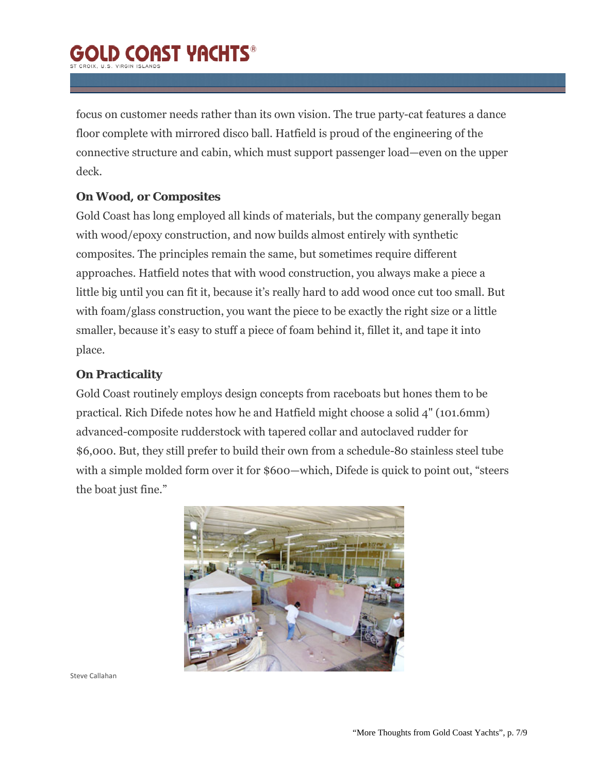# **D COAST VACHTS®**

focus on customer needs rather than its own vision. The true party-cat features a dance floor complete with mirrored disco ball. Hatfield is proud of the engineering of the connective structure and cabin, which must support passenger load—even on the upper deck.

### **On Wood, or Composites**

Gold Coast has long employed all kinds of materials, but the company generally began with wood/epoxy construction, and now builds almost entirely with synthetic composites. The principles remain the same, but sometimes require different approaches. Hatfield notes that with wood construction, you always make a piece a little big until you can fit it, because it's really hard to add wood once cut too small. But with foam/glass construction, you want the piece to be exactly the right size or a little smaller, because it's easy to stuff a piece of foam behind it, fillet it, and tape it into place.

### **On Practicality**

Gold Coast routinely employs design concepts from raceboats but hones them to be practical. Rich Difede notes how he and Hatfield might choose a solid 4" (101.6mm) advanced-composite rudderstock with tapered collar and autoclaved rudder for \$6,000. But, they still prefer to build their own from a schedule-80 stainless steel tube with a simple molded form over it for \$600—which, Difede is quick to point out, "steers the boat just fine."



Steve Callahan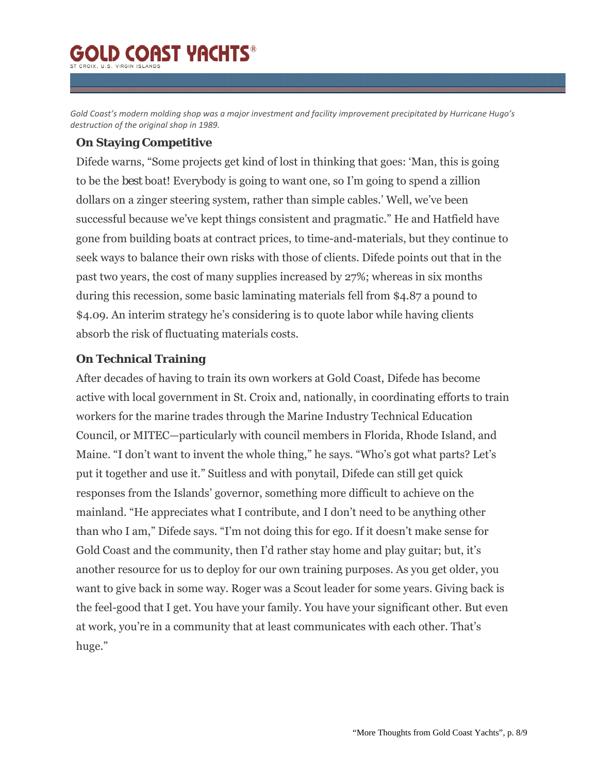# **D COAST VACHTS®**

Gold Coast's modern molding shop was a major investment and facility improvement precipitated by Hurricane Hugo's *destruction of the original shop in 1989.*

#### **On Staying Competitive**

Difede warns, "Some projects get kind of lost in thinking that goes: 'Man, this is going to be the *best* boat! Everybody is going to want one, so I'm going to spend a zillion dollars on a zinger steering system, rather than simple cables.' Well, we've been successful because we've kept things consistent and pragmatic." He and Hatfield have gone from building boats at contract prices, to time-and-materials, but they continue to seek ways to balance their own risks with those of clients. Difede points out that in the past two years, the cost of many supplies increased by 27%; whereas in six months during this recession, some basic laminating materials fell from \$4.87 a pound to \$4.09. An interim strategy he's considering is to quote labor while having clients absorb the risk of fluctuating materials costs.

### **On Technical Training**

After decades of having to train its own workers at Gold Coast, Difede has become active with local government in St. Croix and, nationally, in coordinating efforts to train workers for the marine trades through the Marine Industry Technical Education Council, or MITEC—particularly with council members in Florida, Rhode Island, and Maine. "I don't want to invent the whole thing," he says. "Who's got what parts? Let's put it together and use it." Suitless and with ponytail, Difede can still get quick responses from the Islands' governor, something more difficult to achieve on the mainland. "He appreciates what I contribute, and I don't need to be anything other than who I am," Difede says. "I'm not doing this for ego. If it doesn't make sense for Gold Coast and the community, then I'd rather stay home and play guitar; but, it's another resource for us to deploy for our own training purposes. As you get older, you want to give back in some way. Roger was a Scout leader for some years. Giving back is the feel-good that I get. You have your family. You have your significant other. But even at work, you're in a community that at least communicates with each other. That's huge."